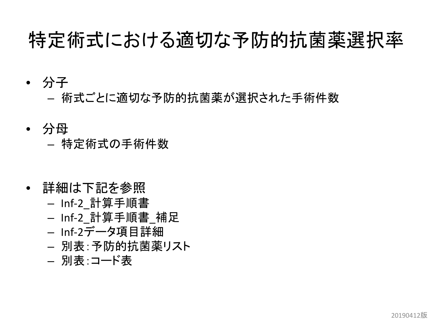### 特定術式における適切な予防的抗菌薬選択率

- 分子
	- 術式ごとに適切な予防的抗菌薬が選択された手術件数
- 分母 – 特定術式の手術件数
- 詳細は下記を参照
	- Inf-2\_計算手順書
	- Inf-2\_計算手順書\_補足
	- Inf-2データ項目詳細
	- 別表:予防的抗菌薬リスト
	- 別表:コード表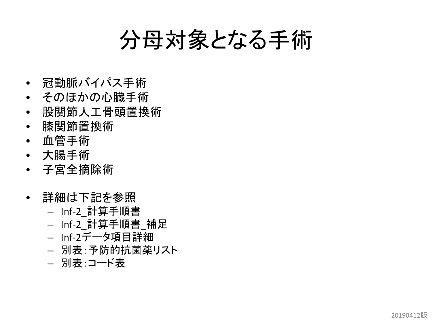### 分母対象となる手術

- 冠動脈バイパス手術
- そのほかの心臓手術
- 股関節人工骨頭置換術
- 膝関節置換術
- 血管手術
- 大腸手術
- 子宮全摘除術
- 詳細は下記を参照
	- Inf-2\_計算手順書
	- Inf-2\_計算手順書\_補足
	- Inf-2データ項目詳細
	- 別表:予防的抗菌薬リスト
	- 別表:コード表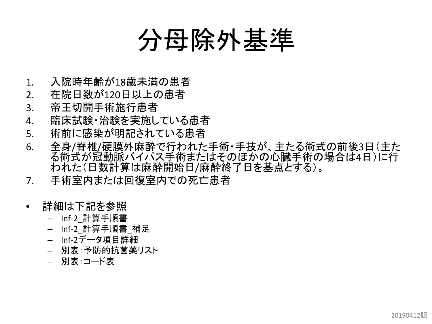# 分母除外基準

- 1. 入院時年齢が18歳未満の患者
- 2. 在院日数が120日以上の患者
- 3. 帝王切開手術施行患者
- 4. 臨床試験・治験を実施している患者
- 5. 術前に感染が明記されている患者
- 6. 全身/脊椎/硬膜外麻酔で行われた手術・手技が、主たる術式の前後3日(主た る術式が冠動脈バイパス手術またはそのほかの心臓手術の場合は4日)に行 われた(日数計算は麻酔開始日/麻酔終了日を基点とする)。
- 7. 手術室内または回復室内での死亡患者
- 詳細は下記を参照
	- Inf-2\_計算手順書
	- Inf-2\_計算手順書\_補足
	- Inf-2データ項目詳細
	- 別表:予防的抗菌薬リスト
	- 別表:コード表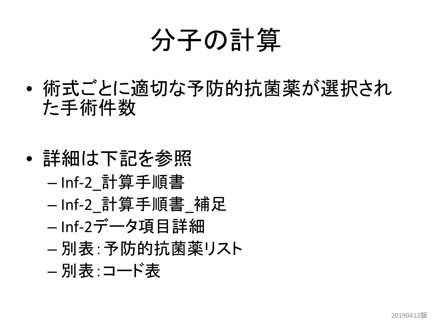# 分子の計算

- 術式ごとに適切な予防的抗菌薬が選択され た手術件数
- 詳細は下記を参照 – Inf-2\_計算手順書 – Inf-2\_計算手順書\_補足 – Inf-2データ項目詳細 – 別表:予防的抗菌薬リスト – 別表:コード表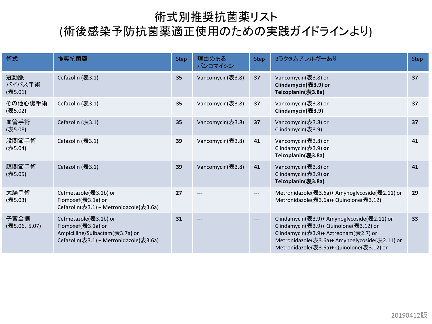#### 術式別推奨抗菌薬リスト

#### (術後感染予防抗菌薬適正使用のための実践ガイドラインより)

| 術式                       | 推奨抗菌薬                                                                                                                    | <b>Step</b> | 理由のある<br>バンコマイシン | <b>Step</b>         | Bラクタムアレルギーあり                                                                                                                                                                                                                  | <b>Step</b> |
|--------------------------|--------------------------------------------------------------------------------------------------------------------------|-------------|------------------|---------------------|-------------------------------------------------------------------------------------------------------------------------------------------------------------------------------------------------------------------------------|-------------|
| 冠動脈<br>バイパス手術<br>(表5.01) | Cefazolin (表3.1)                                                                                                         | 35          | Vancomycin(表3.8) | 37                  | Vancomycin(表3.8) or<br>Clindamycin(表3.9) or<br>Teicoplanin(表3.8a)                                                                                                                                                             | 37          |
| その他心臓手術<br>(表5.02)       | Cefazolin (表3.1)                                                                                                         | 35          | Vancomycin(表3.8) | 37                  | Vancomycin(表3.8) or<br>Clindamycin(表3.9)                                                                                                                                                                                      | 37          |
| 血管手術<br>(表5.08)          | Cefazolin (表3.1)                                                                                                         | 35          | Vancomycin(表3.8) | 37                  | Vancomycin(表3.8) or<br>Clindamycin(表3.9)                                                                                                                                                                                      | 37          |
| 股関節手術<br>(表5.04)         | Cefazolin (表3.1)                                                                                                         | 39          | Vancomycin(表3.8) | 41                  | Vancomycin(表3.8) or<br>Clindamycin(表3.9) or<br>Teicoplanin(表3.8a)                                                                                                                                                             | 41          |
| 膝関節手術<br>(表5.05)         | Cefazolin (表3.1)                                                                                                         | 39          | Vancomycin(表3.8) | 41                  | Vancomycin(表3.8) or<br>Clindamycin(表3.9) or<br>Teicoplanin(表3.8a)                                                                                                                                                             | 41          |
| 大腸手術<br>(表5.03)          | Cefmetazole(表3.1b) or<br>Flomoxef(表3.1a) or<br>Cefazolin(表3.1) + Metronidazole(表3.6a)                                    | 27          |                  | ---                 | Metronidazole(表3.6a)+ Amynoglycoside(表2.11) or<br>Metronidazole(表3.6a)+ Quinolone(表3.12)                                                                                                                                      | 29          |
| 子宮全摘<br>(表5.06、5.07)     | Cefmetazole(表3.1b) or<br>Flomoxef(表3.1a) or<br>Ampicilline/Sulbactam(表3.7a) or<br>Cefazolin(表3.1) + Metronidazole(表3.6a) | 31          | $---$            | $\qquad \qquad - -$ | Clindamycin(表3.9)+ Amynoglycoside(表2.11) or<br>Clindamycin(表3.9)+ Quinolone(表3.12) or<br>Clindamycin(表3.9)+ Aztreonam(表2.7) or<br>Metronidazole(表3.6a)+ Amynoglycoside(表2.11) or<br>Metronidazole(表3.6a)+ Quinolone(表3.12) or | 33          |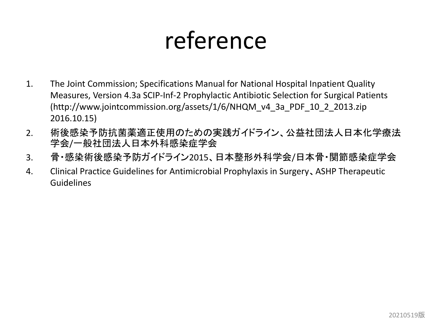## reference

- 1. The Joint Commission; Specifications Manual for National Hospital Inpatient Quality Measures, Version 4.3a SCIP-Inf-2 Prophylactic Antibiotic Selection for Surgical Patients (http://www.jointcommission.org/assets/1/6/NHQM\_v4\_3a\_PDF\_10\_2\_2013.zip 2016.10.15)
- 2. 術後感染予防抗菌薬適正使用のための実践ガイドライン、公益社団法人日本化学療法 学会/一般社団法人日本外科感染症学会
- 3. 骨・感染術後感染予防ガイドライン2015、日本整形外科学会/日本骨・関節感染症学会
- 4. Clinical Practice Guidelines for Antimicrobial Prophylaxis in Surgery、ASHP Therapeutic Guidelines